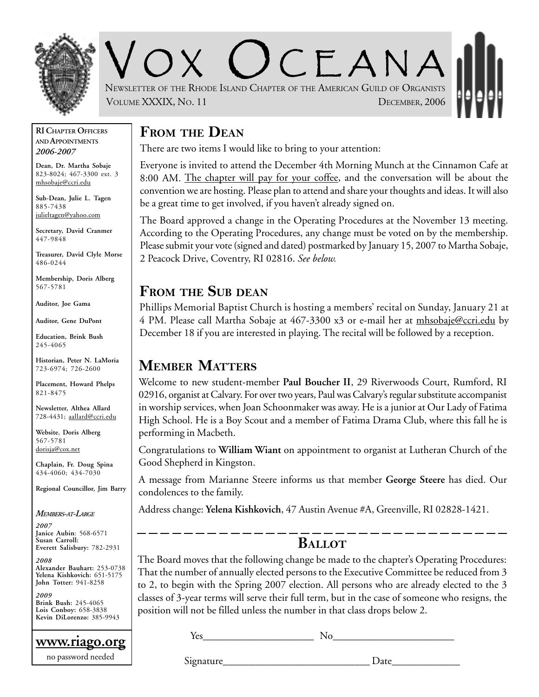

 $C$   $F$   $A$   $N$   $A$ NEWSLETTER OF THE RHODE ISLAND CHAPTER OF THE AMERICAN GUILD OF ORGANISTS VOLUME XXXIX, NO. 11 DECEMBER, 2006

#### **RI CHAPTER OFFICERS AND APPOINTMENTS** *2006-2007*

**Dean, Dr. Martha Sobaje** 823-8024; 467-3300 ext. 3 mhsobaje@ccri.edu

**Sub-Dean, Julie L. Tagen** 885-7438 julieltagen@yahoo.com

**Secretary, David Cranmer** 447-9848

**Treasurer, David Clyle Morse** 486-0244

**Membership, Doris Alberg** 567-5781

**Auditor, Joe Gama**

**Auditor, Gene DuPont**

**Education, Brink Bush** 245-4065

**Historian, Peter N. LaMoria** 723-6974; 726-2600

**Placement, Howard Phelps** 821-8475

**Newsletter, Althea Allard** 728-4431; aallard@ccri.edu

**Website**, **Doris Alberg** 567-5781 dorisja@cox.net

**Chaplain, Fr. Doug Spina** 434-4060; 434-7030

**Regional Councillor, Jim Barry**

*MEMBERS-AT-LARGE*

*2007* **Janice Aubin**: 568-6571 **Susan Carroll: Everett Salisbury:** 782-2931

*2008* **Alexander Bauhart:** 253-0738 **Yelena Kishkovich:** 651-5175 **John Totter:** 941-8258

*2009* **Brink Bush:** 245-4065 **Lois Conboy:** 658-3838 **Kevin DiLorenzo:** 385-9943

**www.riago.org** no password needed

## **FROM THE DEAN**

There are two items I would like to bring to your attention:

Everyone is invited to attend the December 4th Morning Munch at the Cinnamon Cafe at 8:00 AM. The chapter will pay for your coffee, and the conversation will be about the convention we are hosting. Please plan to attend and share your thoughts and ideas. It will also be a great time to get involved, if you haven't already signed on.

The Board approved a change in the Operating Procedures at the November 13 meeting. According to the Operating Procedures, any change must be voted on by the membership. Please submit your vote (signed and dated) postmarked by January 15, 2007 to Martha Sobaje, 2 Peacock Drive, Coventry, RI 02816. *See below.*

#### **FROM THE SUB DEAN**

Phillips Memorial Baptist Church is hosting a members' recital on Sunday, January 21 at 4 PM. Please call Martha Sobaje at 467-3300 x3 or e-mail her at mhsobaje@ccri.edu by December 18 if you are interested in playing. The recital will be followed by a reception.

## **MEMBER MATTERS**

Welcome to new student-member **Paul Boucher II**, 29 Riverwoods Court, Rumford, RI 02916, organist at Calvary. For over two years, Paul was Calvary's regular substitute accompanist in worship services, when Joan Schoonmaker was away. He is a junior at Our Lady of Fatima High School. He is a Boy Scout and a member of Fatima Drama Club, where this fall he is performing in Macbeth.

Congratulations to **William Wiant** on appointment to organist at Lutheran Church of the Good Shepherd in Kingston.

A message from Marianne Steere informs us that member **George Steere** has died. Our condolences to the family.

Address change: **Yelena Kishkovich**, 47 Austin Avenue #A, Greenville, RI 02828-1421.

#### **BALLOT**

The Board moves that the following change be made to the chapter's Operating Procedures: That the number of annually elected persons to the Executive Committee be reduced from 3 to 2, to begin with the Spring 2007 election. All persons who are already elected to the 3 classes of 3-year terms will serve their full term, but in the case of someone who resigns, the position will not be filled unless the number in that class drops below 2.

 $Yes$  No

Signature Date